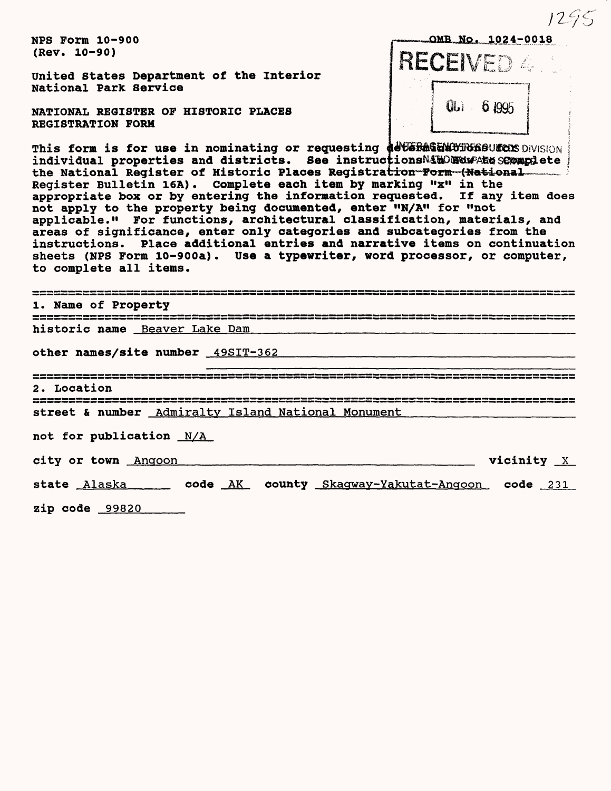NFS Form 10-900 (Rev. 10-90)

United states Department of the Interior National Park Service

NATIONAL REGISTER OF HISTORIC PLACES REGISTRATION FORM

This form is for use in nominating or requesting deverasing and the DIVISION individual properties and districts. See instruc the National Register of Historic Places Registration Form (National 1996) Register Bulletin 16A). Complete each item by marking "x" in the appropriate box or by entering the information requested. If any item does not apply to the property being documented, enter "N/A" for "not applicable." For functions, architectural classification, materials, and areas of significance, enter only categories and subcategories from the instructions. Place additional entries and narrative items on continuation sheets (NPS Form 10-900a). Use a typewriter, word processor, or computer, to complete all items.

| 1. Name of Property                                            |
|----------------------------------------------------------------|
| historic name Beaver Lake Dam                                  |
| other names/site number 49SIT-362                              |
| 2. Location                                                    |
| street & number Admiralty Island National Monument             |
| not for publication N/A                                        |
| city or town Angoon<br>vicinity X                              |
| state Alaska 60 code AK county Skaqway-Yakutat-Angoon code 231 |
| zip code 99820                                                 |

OMB No. 1024-0018 VEI  $6\,1995$ u.

o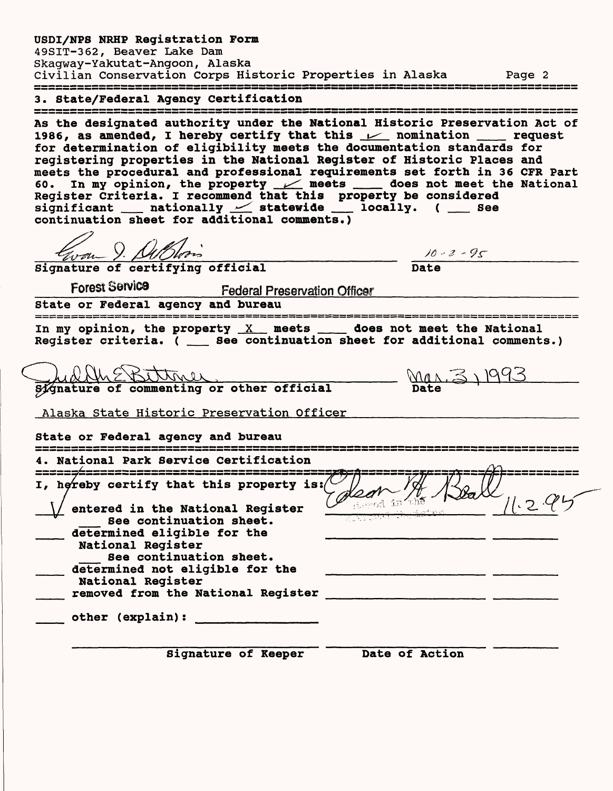| USDI/NPS NRHP Registration Form<br>49SIT-362, Beaver Lake Dam<br>Skaqway-Yakutat-Angoon, Alaska                                                                                                                                                                                                                                                                                                                                                                                                                                                                                                                                                                                                |                                   |    |
|------------------------------------------------------------------------------------------------------------------------------------------------------------------------------------------------------------------------------------------------------------------------------------------------------------------------------------------------------------------------------------------------------------------------------------------------------------------------------------------------------------------------------------------------------------------------------------------------------------------------------------------------------------------------------------------------|-----------------------------------|----|
| Civilian Conservation Corps Historic Properties in Alaska Page 2                                                                                                                                                                                                                                                                                                                                                                                                                                                                                                                                                                                                                               |                                   |    |
| 3. State/Federal Agency Certification                                                                                                                                                                                                                                                                                                                                                                                                                                                                                                                                                                                                                                                          |                                   |    |
| As the designated authority under the National Historic Preservation Act of<br>1986, as amended, I hereby certify that this $\angle$ nomination ____ request<br>for determination of eligibility meets the documentation standards for<br>registering properties in the National Register of Historic Places and<br>meets the procedural and professional requirements set forth in 36 CFR Part<br>60. In my opinion, the property $\angle$ meets $\angle$ does not meet the National<br>Register Criteria. I recommend that this property be considered<br>significant __ nationally $\angle$ statewide __ locally. ( __ See<br>continuation sheet for additional comments.)<br>wan 9. Albais |                                   |    |
| Signature of certifying official                                                                                                                                                                                                                                                                                                                                                                                                                                                                                                                                                                                                                                                               | $\frac{10 - 2 - 95}{\text{Date}}$ |    |
| <b>Forest Service</b>                                                                                                                                                                                                                                                                                                                                                                                                                                                                                                                                                                                                                                                                          |                                   |    |
| Federal Preservation Officer<br>State or Federal agency and bureau                                                                                                                                                                                                                                                                                                                                                                                                                                                                                                                                                                                                                             |                                   |    |
| MAN ZKINNL Store of commenting or other official<br>Alaska State Historic Preservation Officer                                                                                                                                                                                                                                                                                                                                                                                                                                                                                                                                                                                                 | Mar 31943                         |    |
| State or Federal agency and bureau                                                                                                                                                                                                                                                                                                                                                                                                                                                                                                                                                                                                                                                             |                                   |    |
| 4. National Park Service Certification                                                                                                                                                                                                                                                                                                                                                                                                                                                                                                                                                                                                                                                         |                                   |    |
| I, hereby certify that this property is:/<br>entered in the National Register<br>See continuation sheet.<br>determined eligible for the<br>National Register<br>See continuation sheet.<br>determined not eligible for the<br>National Register<br>removed from the National Register                                                                                                                                                                                                                                                                                                                                                                                                          |                                   | にて |
| other (explain):                                                                                                                                                                                                                                                                                                                                                                                                                                                                                                                                                                                                                                                                               |                                   |    |
| Signature of Keeper                                                                                                                                                                                                                                                                                                                                                                                                                                                                                                                                                                                                                                                                            | Date of Action                    |    |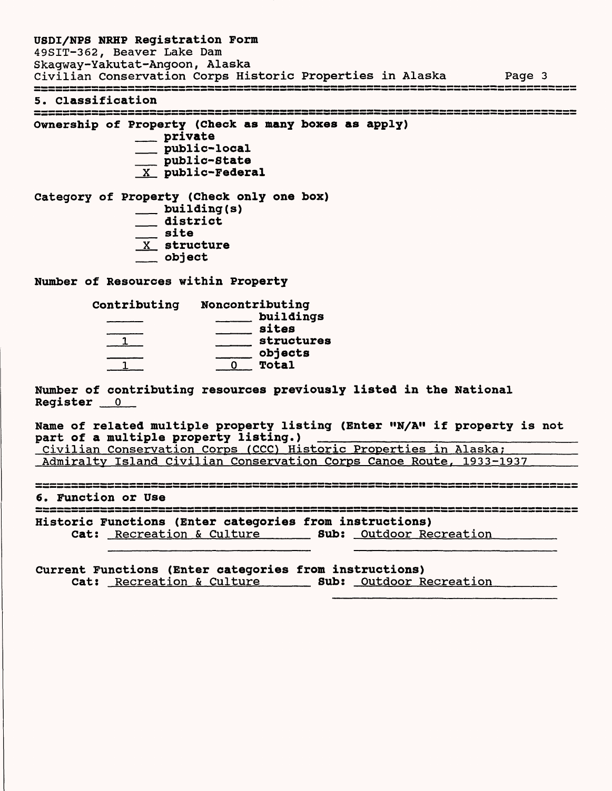USDI/NPS NRHP Registration Form 49SIT-362, Beaver Lake Dam Skagway-Yakutat-Angoon, Alaska Civilian Conservation Corps Historic Properties in Alaska Page 3 5. Classification Ownership of Property (Check as many boxes as apply) \_\_ private \_\_ public-local \_\_ public-State X public-Federal Category of Property (Check only one box)

- \_\_ building(s) \_\_ district
- 
- \_\_ site
- $X$  structure \_\_ object
- 

Number of Resources within Property

| Contributing | Noncontributing |  |
|--------------|-----------------|--|
|              | buildings       |  |
|              | sites           |  |
|              | structures      |  |
|              | objects         |  |
|              | <b>Total</b>    |  |

Number of contributing resources previously listed in the National Register  $0$ 

Name of related multiple property listing (Enter "N/A" if property is not part of a multiple property listing.)

Civilian Conservation Corps (CCC) Historic Properties in Alaska; Admiralty Island Civilian Conservation Corps Canoe Route, 1933-1937

6. Function or Use

Historic Functions (Enter categories from instructions) Cat: Recreation & Culture\_\_\_\_\_ Sub: Outdoor Recreation

Current Functions (Enter categories from instructions) Cat: Recreation & Culture\_\_\_\_\_ Sub: Outdoor Recreation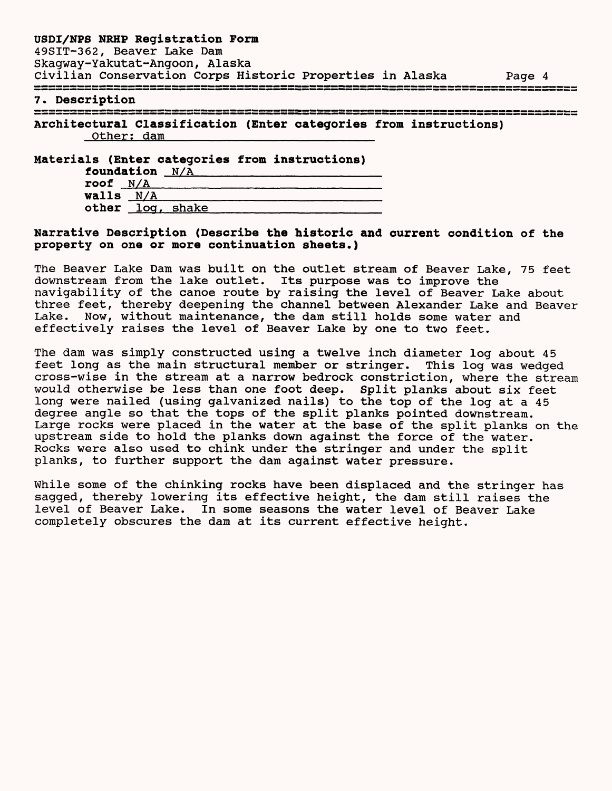| USDI/NPS NRHP Registration Form<br>49SIT-362, Beaver Lake Dam<br>Skaqway-Yakutat-Angoon, Alaska<br>Civilian Conservation Corps Historic Properties in Alaska | Page 4 |
|--------------------------------------------------------------------------------------------------------------------------------------------------------------|--------|
| 7. Description                                                                                                                                               |        |
| Architectural Classification (Enter categories from instructions)<br>Other: dam                                                                              |        |
| Materials (Enter categories from instructions)                                                                                                               |        |

| foundation N/A |                  |  |
|----------------|------------------|--|
| roof $N/A$     |                  |  |
| walls $N/A$    |                  |  |
|                | other log, shake |  |

# Narrative Description (Describe the historic and current condition of the property on one or more continuation sheets.)

The Beaver Lake Dam was built on the outlet stream of Beaver Lake, 75 feet downstream from the lake outlet. Its purpose was to improve the navigability of the canoe route by raising the level of Beaver Lake about three feet, thereby deepening the channel between Alexander Lake and Beaver Lake. Now, without maintenance, the dam still holds some water and effectively raises the level of Beaver Lake by one to two feet.

The dam was simply constructed using a twelve inch diameter log about 45 feet long as the main structural member or stringer. This log was wedged cross-wise in the stream at a narrow bedrock constriction, where the stream would otherwise be less than one foot deep. Split planks about six feet long were nailed (using galvanized nails) to the top of the log at a 45 degree angle so that the tops of the split planks pointed downstream. Large rocks were placed in the water at the base of the split planks on the upstream side to hold the planks down against the force of the water. Rocks were also used to chink under the stringer and under the split planks, to further support the dam against water pressure.

While some of the chinking rocks have been displaced and the stringer has sagged, thereby lowering its effective height, the dam still raises the level of Beaver Lake. In some seasons the water level of Beaver Lake completely obscures the dam at its current effective height.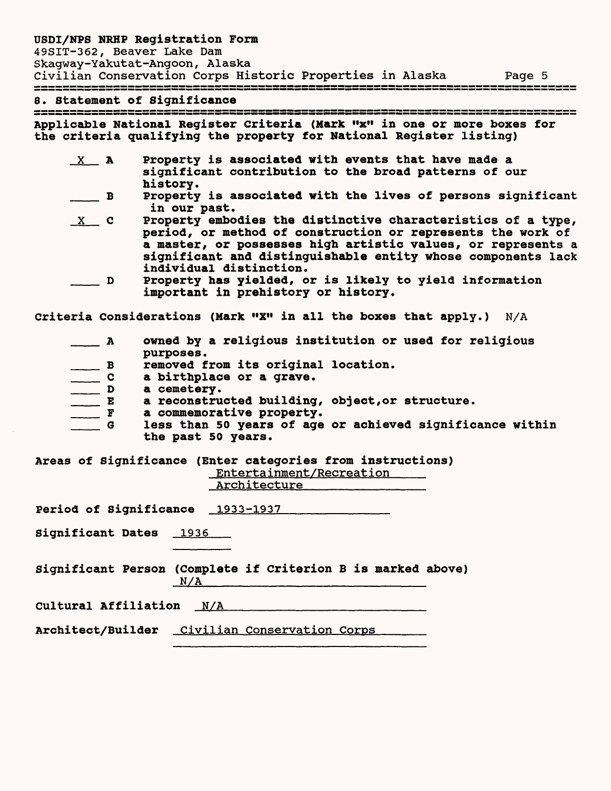| 49SIT-362, Beaver Lake Dam                        | USDI/NPS NRHP Registration Form<br>Skaqway-Yakutat-Angoon, Alaska<br>Civilian Conservation Corps Historic Properties in Alaska Bage 5                                                                                                                                                  |
|---------------------------------------------------|----------------------------------------------------------------------------------------------------------------------------------------------------------------------------------------------------------------------------------------------------------------------------------------|
|                                                   | 8. Statement of Significance<br>ssa se e e e su se se a va o su va va una se se que de su se su se su se su de con que se se su su su se se se                                                                                                                                         |
|                                                   | Applicable National Register Criteria (Mark "x" in one or more boxes for<br>the criteria qualifying the property for National Register listing)                                                                                                                                        |
| $X$ $A$                                           | Property is associated with events that have made a<br>significant contribution to the broad patterns of our<br>history.                                                                                                                                                               |
| $\blacksquare$ B                                  | Property is associated with the lives of persons significant<br>in our past.                                                                                                                                                                                                           |
| $X$ $C$                                           | Property embodies the distinctive characteristics of a type,<br>period, or method of construction or represents the work of<br>a master, or possesses high artistic values, or represents a<br>significant and distinguishable entity whose components lack<br>individual distinction. |
| $\blacksquare$                                    | Property has yielded, or is likely to yield information<br>important in prehistory or history.                                                                                                                                                                                         |
|                                                   | Criteria Considerations (Mark "X" in all the boxes that apply.)<br>N/A                                                                                                                                                                                                                 |
| $\overline{\phantom{a}}$ $\overline{\phantom{a}}$ | owned by a religious institution or used for religious<br>purposes.                                                                                                                                                                                                                    |
| $\overline{B}$                                    | removed from its original location.                                                                                                                                                                                                                                                    |

- C a birthplace or a grave.
- D a cemetery.
- E a reconstructed building, object, or structure.
- F a commemorative property.
- G less than 50 years of age or achieved significance within the past 50 years.

Areas of Significance (Enter categories from instructions) Entertainment/Recreation\_\_\_\_ Architecture

Period of Significance 1933-1937

Significant Dates 1936

Significant Person (Complete if Criterion B is marked above)  $N/A$ 

Cultural Affiliation N/A\_\_\_\_\_\_\_\_\_\_\_\_\_\_\_\_\_\_\_\_\_\_

Architect/Builder Civilian Conservation Corps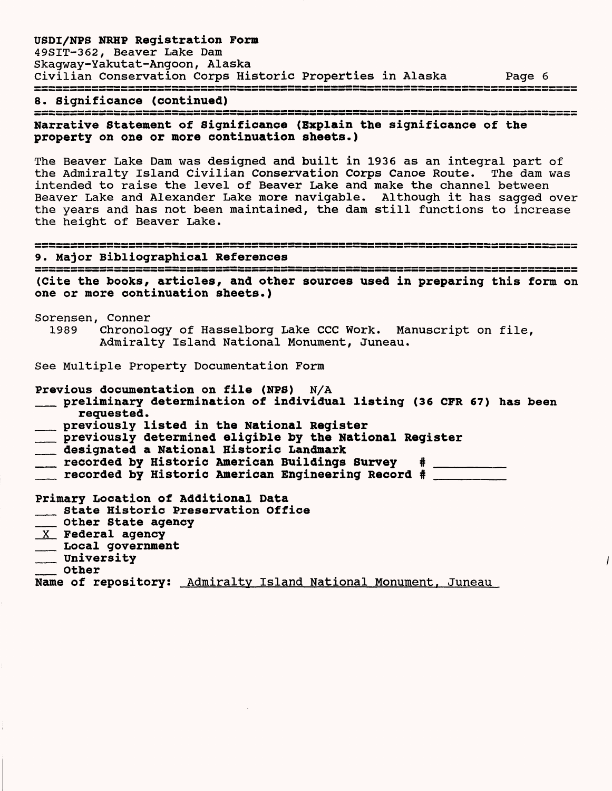| USDI/NPS NRHP Registration Form<br>49SIT-362, Beaver Lake Dam<br>Skaqway-Yakutat-Angoon, Alaska                                                                                                                                                                                                                                                                                                                                                                                                    |
|----------------------------------------------------------------------------------------------------------------------------------------------------------------------------------------------------------------------------------------------------------------------------------------------------------------------------------------------------------------------------------------------------------------------------------------------------------------------------------------------------|
| Civilian Conservation Corps Historic Properties in Alaska<br>Page 6<br><u>. 1992 - 1993 - 1993 - 1993 - 1993 - 1995 - 1995 - 1995 - 1995 - 1996 - 1996 - 1996 - 1996 - 1996 - 1996 - 19</u><br>ست میں اس میں سے اسے میں میں کہا کہ میں سے بھی اس میں اس میں سے دیوں کی اس میں میں میں ہیں۔<br>سے سب میں سے میں اس میں سے اس میں میں سے بھی اس میں اس میں میں سے میں اس میں اس میں میں اس میں اس میں اس                                                                                             |
| 8. Significance (continued)<br>ہے ہیں سے دین کی بین چین ابن ابن بین بین نیک بات دی بنین سا میں ہیں سن سن کہ اُپن سن دنی لیں ابن بین ہوں کہ نئ<br>کہ دنی سے دنیا ملک کہ سن سن لیل پری کی ایل ایل پین اپنی میں دن سے سن میں کو اس میں سن کی سے بھی سے سے سن سے دن<br>محلة ملكة الألام للربية الألك بالألام للإيم الربية جانبه فكان ضاعة فلها ليها الألام فكان فكل خاص الألام الألام<br>ويحمل منابع المركز التي تقليل الألم الألم المركز المركز المركز المركز المركز المركز الألم الألم المركز المركز |
| Narrative Statement of Significance (Explain the significance of the<br>property on one or more continuation sheets.)                                                                                                                                                                                                                                                                                                                                                                              |
| The Beaver Lake Dam was designed and built in 1936 as an integral part of<br>the Admiralty Island Civilian Conservation Corps Canoe Route.<br>The dam was<br>intended to raise the level of Beaver Lake and make the channel between<br>Beaver Lake and Alexander Lake more navigable. Although it has sagged over<br>the years and has not been maintained, the dam still functions to increase<br>the height of Beaver Lake.                                                                     |
| ۔<br>اس محمد محمد محمد محمد خدید محمد محمد کسی کامل کریں سروا محمد خدید کریں محمد سبک محمد ساتھ محمد محمد محمد محمد<br>استعمال محمد محمد خدمت محمد محمد کسی کامل کردن کامل محمد خدمت کامل محمد است کامل محمد است کامل محمد محمد محم<br>9. Major Bibliographical References                                                                                                                                                                                                                         |
| (Cite the books, articles, and other sources used in preparing this form on<br>one or more continuation sheets.)<br>Sorensen, Conner<br>Chronology of Hasselborg Lake CCC Work. Manuscript on file,<br>1989<br>Admiralty Island National Monument, Juneau.                                                                                                                                                                                                                                         |
| See Multiple Property Documentation Form                                                                                                                                                                                                                                                                                                                                                                                                                                                           |
| Previous documentation on file (NPS) N/A<br>preliminary determination of individual listing (36 CFR 67) has been<br>requested.<br>__ previously listed in the National Register<br>__ previously determined eligible by the National Register<br>designated a National Historic Landmark<br>recorded by Historic American Buildings Survey<br>$\overline{\phantom{a}}$<br>recorded by Historic American Engineering Record #                                                                       |
| Primary Location of Additional Data<br>State Historic Preservation Office                                                                                                                                                                                                                                                                                                                                                                                                                          |

 $\label{eq:2.1} \frac{1}{\sqrt{2}}\int_{\mathbb{R}^3} \frac{1}{\sqrt{2}}\left(\frac{1}{\sqrt{2}}\right)^2\frac{1}{\sqrt{2}}\left(\frac{1}{\sqrt{2}}\right)^2\frac{1}{\sqrt{2}}\left(\frac{1}{\sqrt{2}}\right)^2\frac{1}{\sqrt{2}}\left(\frac{1}{\sqrt{2}}\right)^2.$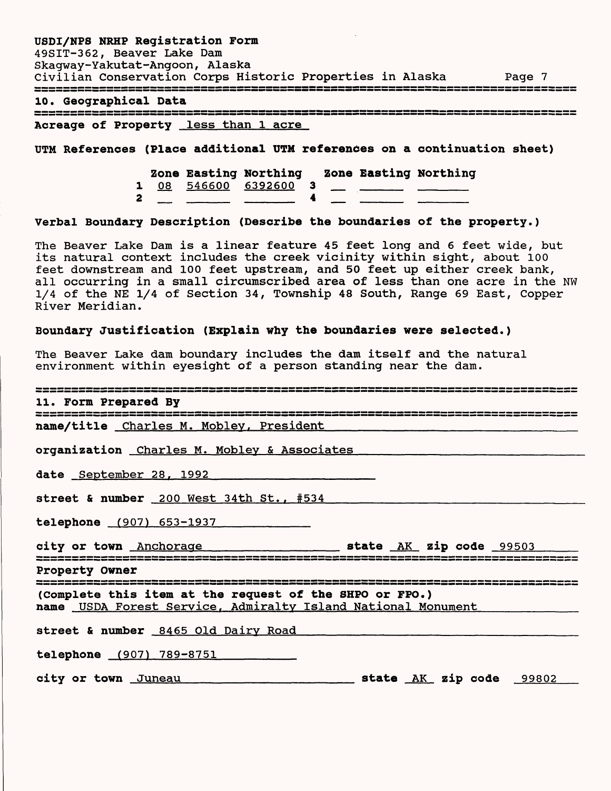| USDI/NPS NRHP Registration Form<br>49SIT-362, Beaver Lake Dam<br>Skaqway-Yakutat-Angoon, Alaska |        |
|-------------------------------------------------------------------------------------------------|--------|
| Civilian Conservation Corps Historic Properties in Alaska                                       | Page 7 |
| 10. Geographical Data                                                                           |        |
| Acreage of Property less than 1 acre                                                            |        |

### UTM References (Place additional UTM references on a continuation sheet)

Zone Easting Northing Zone Easting Northing<br>1 08 546600 6392600 3  $\frac{1}{2}$   $\frac{08}{4}$   $\frac{546600}{6392600}$  3  $2 - \frac{2}{\sqrt{2}} - \frac{346600}{\sqrt{2}} - \frac{3322600}{\sqrt{2}} - \frac{4}{\sqrt{2}} - \frac{2}{\sqrt{2}} - \frac{2}{\sqrt{2}} - \frac{2}{\sqrt{2}} - \frac{2}{\sqrt{2}} - \frac{2}{\sqrt{2}} - \frac{2}{\sqrt{2}} - \frac{2}{\sqrt{2}} - \frac{2}{\sqrt{2}} - \frac{2}{\sqrt{2}} - \frac{2}{\sqrt{2}} - \frac{2}{\sqrt{2}} - \frac{2}{\sqrt{2}} - \frac{2}{\sqrt{2}} - \frac{2}{\sqrt{2}} - \frac{2}{\sqrt{2$ 

## Verbal Boundary Description (Describe the boundaries of the property.)

The Beaver Lake Dam is a linear feature 45 feet long and 6 feet wide, but its natural context includes the creek vicinity within sight, about 100 feet downstream and 100 feet upstream, and 50 feet up either creek bank, all occurring in a small circumscribed area of less than one acre in the NW 1/4 of the NE 1/4 of Section 34, Township 48 South, Range 69 East, Copper River Meridian.

## Boundary Justification (Explain why the boundaries were selected.)

The Beaver Lake dam boundary includes the dam itself and the natural environment within eyesight of a person standing near the dam.

#### 

11. Form Prepared By name/title Charles M. Mobley. President

organization Charles M. Mobley & Associates

date September 28, 1992

street & number 200 West 34th St., #534

**telephone** (907) 653-1937\_\_\_\_\_\_\_\_\_\_\_

city or town Anchorage\_\_\_\_\_\_\_\_\_\_\_\_\_\_\_ state AK zip code 99503

Property Owner<br>===============================

(Complete this item at the request of the SHPO or FPO.)

name USDA Forest Service, Admiralty Island National Monument \_\_\_\_\_\_

street & number 8465 Old Dairy Road

telephone (907) 789-8751

city or town Juneau\_\_\_\_\_\_\_\_\_\_\_\_\_\_\_\_\_\_\_ state AK zip code 99802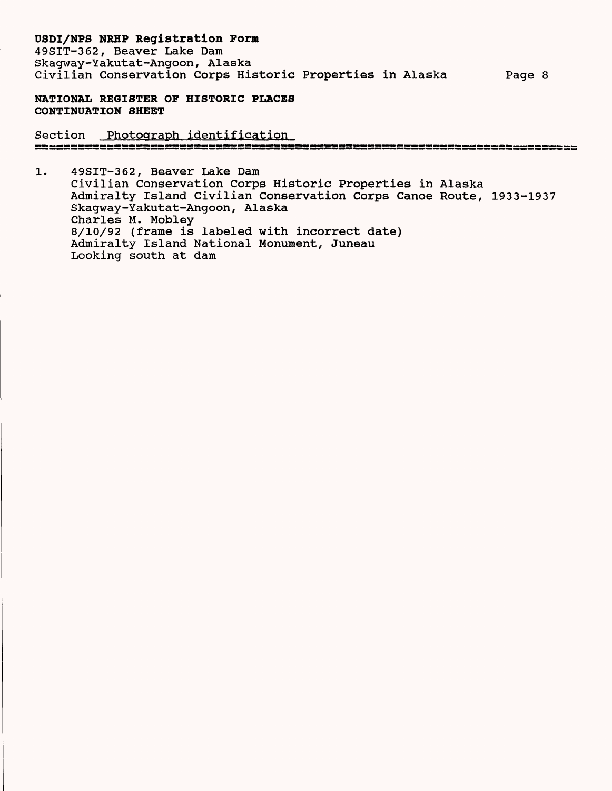49SIT-362, Beaver Lake Dam Skagway-Yakutat-Angoon, Alaska Civilian Conservation Corps Historic Properties in Alaska Page 8

**NATIONAL REGISTER OF HISTORIC PLACES CONTINUATION SHEET**

Section Photograph identification

1. 49SIT-362, Beaver Lake Dam Civilian Conservation Corps Historic Properties in Alaska Admiralty Island Civilian Conservation Corps Canoe Route, 1933-1937 Skagway-Yakutat-Angoon, Alaska Charles M. Mobley 8/10/92 (frame is labeled with incorrect date) Admiralty Island National Monument, Juneau Looking south at dam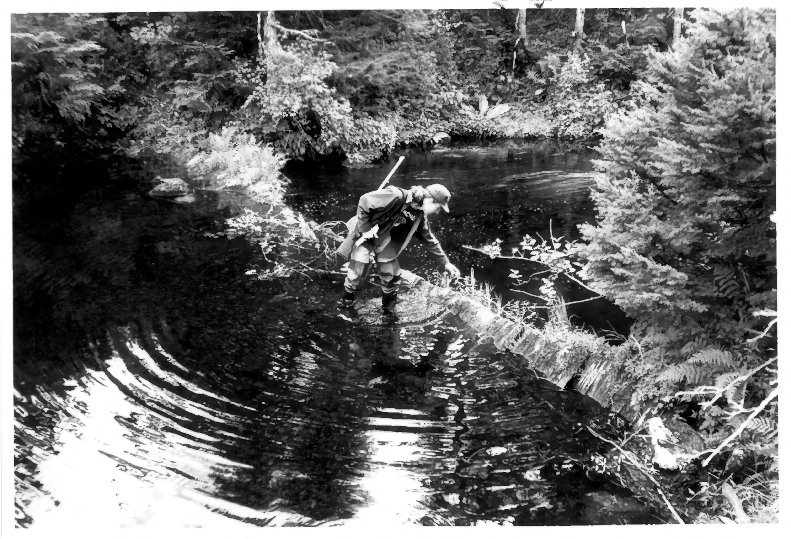